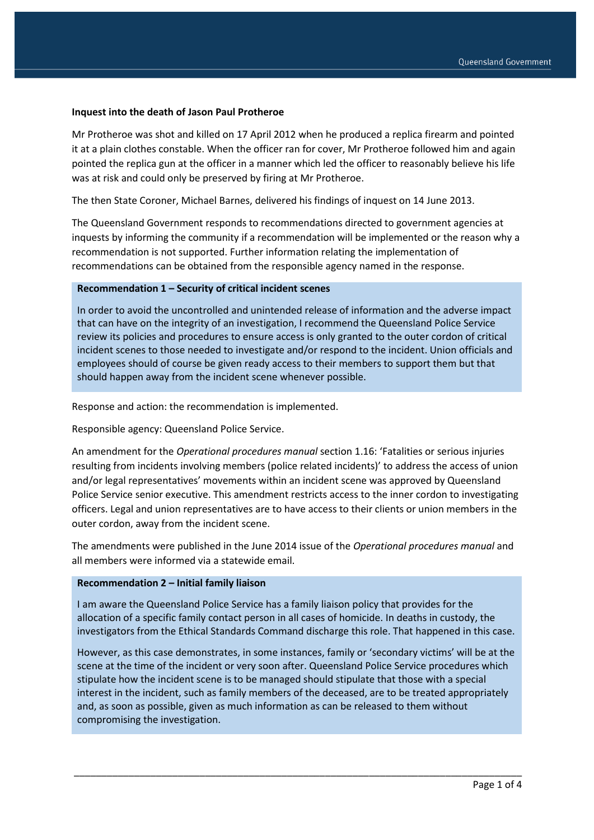#### **Inquest into the death of Jason Paul Protheroe**

Mr Protheroe was shot and killed on 17 April 2012 when he produced a replica firearm and pointed it at a plain clothes constable. When the officer ran for cover, Mr Protheroe followed him and again pointed the replica gun at the officer in a manner which led the officer to reasonably believe his life was at risk and could only be preserved by firing at Mr Protheroe.

The then State Coroner, Michael Barnes, delivered his findings of inquest on 14 June 2013.

The Queensland Government responds to recommendations directed to government agencies at inquests by informing the community if a recommendation will be implemented or the reason why a recommendation is not supported. Further information relating the implementation of recommendations can be obtained from the responsible agency named in the response.

## **Recommendation 1 – Security of critical incident scenes**

In order to avoid the uncontrolled and unintended release of information and the adverse impact that can have on the integrity of an investigation, I recommend the Queensland Police Service review its policies and procedures to ensure access is only granted to the outer cordon of critical incident scenes to those needed to investigate and/or respond to the incident. Union officials and employees should of course be given ready access to their members to support them but that should happen away from the incident scene whenever possible.

Response and action: the recommendation is implemented.

Responsible agency: Queensland Police Service.

An amendment for the *Operational procedures manual* section 1.16: 'Fatalities or serious injuries resulting from incidents involving members (police related incidents)' to address the access of union and/or legal representatives' movements within an incident scene was approved by Queensland Police Service senior executive. This amendment restricts access to the inner cordon to investigating officers. Legal and union representatives are to have access to their clients or union members in the outer cordon, away from the incident scene.

The amendments were published in the June 2014 issue of the *Operational procedures manual* and all members were informed via a statewide email.

#### **Recommendation 2 – Initial family liaison**

I am aware the Queensland Police Service has a family liaison policy that provides for the allocation of a specific family contact person in all cases of homicide. In deaths in custody, the investigators from the Ethical Standards Command discharge this role. That happened in this case.

However, as this case demonstrates, in some instances, family or 'secondary victims' will be at the scene at the time of the incident or very soon after. Queensland Police Service procedures which stipulate how the incident scene is to be managed should stipulate that those with a special interest in the incident, such as family members of the deceased, are to be treated appropriately and, as soon as possible, given as much information as can be released to them without compromising the investigation.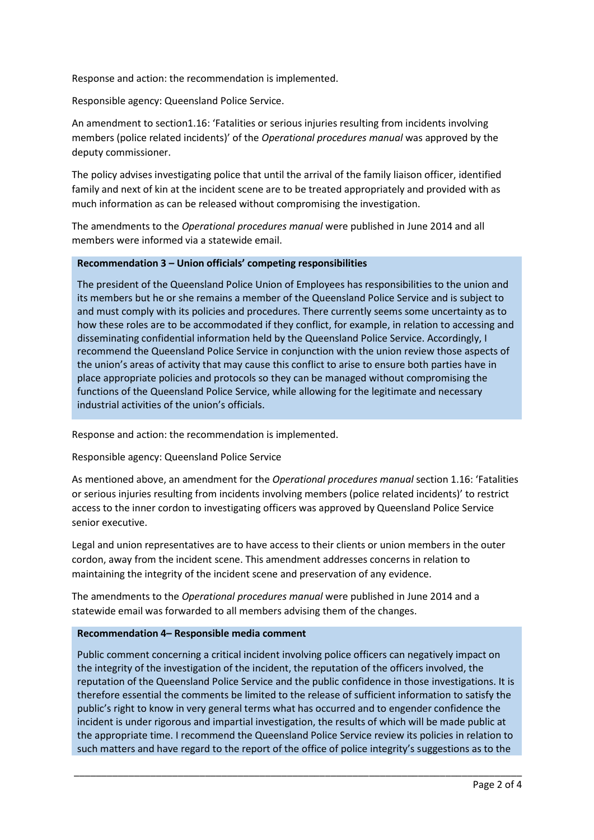Response and action: the recommendation is implemented.

Responsible agency: Queensland Police Service.

An amendment to section1.16: 'Fatalities or serious injuries resulting from incidents involving members (police related incidents)' of the *Operational procedures manual* was approved by the deputy commissioner.

The policy advises investigating police that until the arrival of the family liaison officer, identified family and next of kin at the incident scene are to be treated appropriately and provided with as much information as can be released without compromising the investigation.

The amendments to the *Operational procedures manual* were published in June 2014 and all members were informed via a statewide email.

## **Recommendation 3 – Union officials' competing responsibilities**

The president of the Queensland Police Union of Employees has responsibilities to the union and its members but he or she remains a member of the Queensland Police Service and is subject to and must comply with its policies and procedures. There currently seems some uncertainty as to how these roles are to be accommodated if they conflict, for example, in relation to accessing and disseminating confidential information held by the Queensland Police Service. Accordingly, I recommend the Queensland Police Service in conjunction with the union review those aspects of the union's areas of activity that may cause this conflict to arise to ensure both parties have in place appropriate policies and protocols so they can be managed without compromising the functions of the Queensland Police Service, while allowing for the legitimate and necessary industrial activities of the union's officials.

Response and action: the recommendation is implemented.

Responsible agency: Queensland Police Service

As mentioned above, an amendment for the *Operational procedures manual* section 1.16: 'Fatalities or serious injuries resulting from incidents involving members (police related incidents)' to restrict access to the inner cordon to investigating officers was approved by Queensland Police Service senior executive.

Legal and union representatives are to have access to their clients or union members in the outer cordon, away from the incident scene. This amendment addresses concerns in relation to maintaining the integrity of the incident scene and preservation of any evidence.

The amendments to the *Operational procedures manual* were published in June 2014 and a statewide email was forwarded to all members advising them of the changes.

# **Recommendation 4– Responsible media comment**

Public comment concerning a critical incident involving police officers can negatively impact on the integrity of the investigation of the incident, the reputation of the officers involved, the reputation of the Queensland Police Service and the public confidence in those investigations. It is therefore essential the comments be limited to the release of sufficient information to satisfy the public's right to know in very general terms what has occurred and to engender confidence the incident is under rigorous and impartial investigation, the results of which will be made public at the appropriate time. I recommend the Queensland Police Service review its policies in relation to such matters and have regard to the report of the office of police integrity's suggestions as to the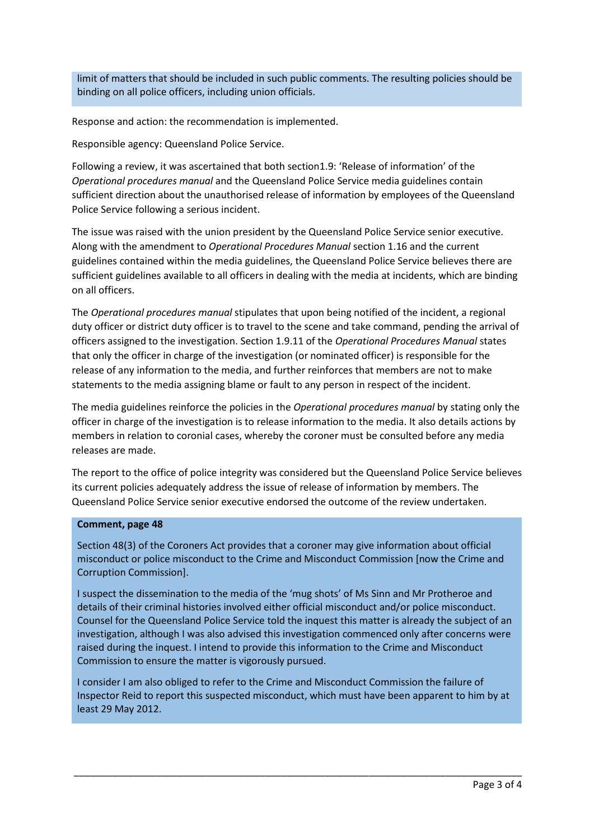limit of matters that should be included in such public comments. The resulting policies should be binding on all police officers, including union officials.

Response and action: the recommendation is implemented.

Responsible agency: Queensland Police Service.

Following a review, it was ascertained that both section1.9: 'Release of information' of the *Operational procedures manual* and the Queensland Police Service media guidelines contain sufficient direction about the unauthorised release of information by employees of the Queensland Police Service following a serious incident.

The issue was raised with the union president by the Queensland Police Service senior executive. Along with the amendment to *Operational Procedures Manual* section 1.16 and the current guidelines contained within the media guidelines, the Queensland Police Service believes there are sufficient guidelines available to all officers in dealing with the media at incidents, which are binding on all officers.

The *Operational procedures manual* stipulates that upon being notified of the incident, a regional duty officer or district duty officer is to travel to the scene and take command, pending the arrival of officers assigned to the investigation. Section 1.9.11 of the *Operational Procedures Manual* states that only the officer in charge of the investigation (or nominated officer) is responsible for the release of any information to the media, and further reinforces that members are not to make statements to the media assigning blame or fault to any person in respect of the incident.

The media guidelines reinforce the policies in the *Operational procedures manual* by stating only the officer in charge of the investigation is to release information to the media. It also details actions by members in relation to coronial cases, whereby the coroner must be consulted before any media releases are made.

The report to the office of police integrity was considered but the Queensland Police Service believes its current policies adequately address the issue of release of information by members. The Queensland Police Service senior executive endorsed the outcome of the review undertaken.

## **Comment, page 48**

Section 48(3) of the Coroners Act provides that a coroner may give information about official misconduct or police misconduct to the Crime and Misconduct Commission [now the Crime and Corruption Commission].

I suspect the dissemination to the media of the 'mug shots' of Ms Sinn and Mr Protheroe and details of their criminal histories involved either official misconduct and/or police misconduct. Counsel for the Queensland Police Service told the inquest this matter is already the subject of an investigation, although I was also advised this investigation commenced only after concerns were raised during the inquest. I intend to provide this information to the Crime and Misconduct Commission to ensure the matter is vigorously pursued.

I consider I am also obliged to refer to the Crime and Misconduct Commission the failure of Inspector Reid to report this suspected misconduct, which must have been apparent to him by at least 29 May 2012.